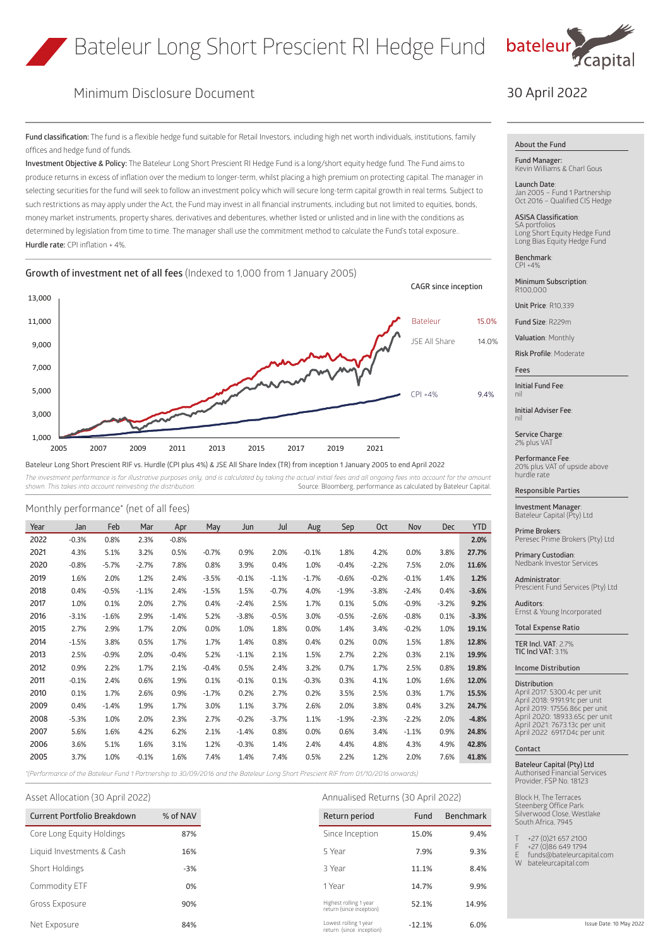

# Minimum Disclosure Document

**Fund classification:** The fund is a flexible hedge fund suitable for Retail Investors, including high net worth individuals, institutions, family offices and hedge fund of funds.

**Investment Objective & Policy:** The Bateleur Long Short Prescient RI Hedge Fund is a long/short equity hedge fund. The Fund aims to produce returns in excess of inflation over the medium to longer-term, whilst placing a high premium on protecting capital. The manager in selecting securities for the fund will seek to follow an investment policy which will secure long-term capital growth in real terms. Subject to such restrictions as may apply under the Act, the Fund may invest in all financial instruments, including but not limited to equities, bonds, money market instruments, property shares, derivatives and debentures, whether listed or unlisted and in line with the conditions as determined by legislation from time to time. The manager shall use the commitment method to calculate the Fund's total exposure.. **Hurdle rate:** CPI inflation + 4%.

**Growth of investment net of all fees** (Indexed to 1,000 from 1 January 2005)



Bateleur Long Short Prescient RIF vs. Hurdle (CPI plus 4%) & JSE All Share Index (TR) from inception 1 January 2005 to end April 2022 The investment performance is for illustrative purposes only, and is calculated by taking the actual initial fees and all ongoing fees into account for the amount **incel and a calculated by tateleur** Capital shown. This ta

*shown. This takes into account reinvesting the distribution.* Source: Bloomberg, performance as calculated by Bateleur Capital.

| Year | Jan     | Feb     | Mar     | Apr     | May     | Jun     | Jul     | Aug     | Sep     | <b>Oct</b> | Nov     | <b>Dec</b> | <b>YTD</b> |
|------|---------|---------|---------|---------|---------|---------|---------|---------|---------|------------|---------|------------|------------|
| 2022 | $-0.3%$ | 0.8%    | 2.3%    | $-0.8%$ |         |         |         |         |         |            |         |            | 2.0%       |
| 2021 | 4.3%    | 5.1%    | 3.2%    | 0.5%    | $-0.7%$ | 0.9%    | 2.0%    | $-0.1%$ | 1.8%    | 4.2%       | 0.0%    | 3.8%       | 27.7%      |
| 2020 | $-0.8%$ | $-5.7%$ | $-2.7%$ | 7.8%    | 0.8%    | 3.9%    | 0.4%    | 1.0%    | $-0.4%$ | $-2.2%$    | 7.5%    | 2.0%       | 11.6%      |
| 2019 | 1.6%    | 2.0%    | 1.2%    | 2.4%    | $-3.5%$ | $-0.1%$ | $-1.1%$ | $-1.7%$ | $-0.6%$ | $-0.2%$    | $-0.1%$ | 1.4%       | 1.2%       |
| 2018 | 0.4%    | $-0.5%$ | $-1.1%$ | 2.4%    | $-1.5%$ | 1.5%    | $-0.7%$ | 4.0%    | $-1.9%$ | $-3.8%$    | $-2.4%$ | 0.4%       | $-3.6%$    |
| 2017 | 1.0%    | 0.1%    | 2.0%    | 2.7%    | 0.4%    | $-2.4%$ | 2.5%    | 1.7%    | 0.1%    | 5.0%       | $-0.9%$ | $-3.2%$    | 9.2%       |
| 2016 | $-3.1%$ | $-1.6%$ | 2.9%    | $-1.4%$ | 5.2%    | $-3.8%$ | $-0.5%$ | 3.0%    | $-0.5%$ | $-2.6%$    | $-0.8%$ | 0.1%       | $-3.3%$    |
| 2015 | 2.7%    | 2.9%    | 1.7%    | 2.0%    | 0.0%    | 1.0%    | 1.8%    | 0.0%    | 1.4%    | 3.4%       | $-0.2%$ | 1.0%       | 19.1%      |
| 2014 | $-1.5%$ | 3.8%    | 0.5%    | 1.7%    | 1.7%    | 1.4%    | 0.8%    | 0.4%    | 0.2%    | 0.0%       | 1.5%    | 1.8%       | 12.8%      |
| 2013 | 2.5%    | $-0.9%$ | 2.0%    | $-0.4%$ | 5.2%    | $-1.1%$ | 2.1%    | 1.5%    | 2.7%    | 2.2%       | 0.3%    | 2.1%       | 19.9%      |
| 2012 | 0.9%    | 2.2%    | 1.7%    | 2.1%    | $-0.4%$ | 0.5%    | 2.4%    | 3.2%    | 0.7%    | 1.7%       | 2.5%    | 0.8%       | 19.8%      |
| 2011 | $-0.1%$ | 2.4%    | 0.6%    | 1.9%    | 0.1%    | $-0.1%$ | 0.1%    | $-0.3%$ | 0.3%    | 4.1%       | 1.0%    | 1.6%       | 12.0%      |
| 2010 | 0.1%    | 1.7%    | 2.6%    | 0.9%    | $-1.7%$ | 0.2%    | 2.7%    | 0.2%    | 3.5%    | 2.5%       | 0.3%    | 1.7%       | 15.5%      |
| 2009 | 0.4%    | $-1.4%$ | 1.9%    | 1.7%    | 3.0%    | 1.1%    | 3.7%    | 2.6%    | 2.0%    | 3.8%       | 0.4%    | 3.2%       | 24.7%      |
| 2008 | $-5.3%$ | 1.0%    | 2.0%    | 2.3%    | 2.7%    | $-0.2%$ | $-3.7%$ | 1.1%    | $-1.9%$ | $-2.3%$    | $-2.2%$ | 2.0%       | $-4.8%$    |
| 2007 | 5.6%    | 1.6%    | 4.2%    | 6.2%    | 2.1%    | $-1.4%$ | 0.8%    | 0.0%    | 0.6%    | 3.4%       | $-1.1%$ | 0.9%       | 24.8%      |
| 2006 | 3.6%    | 5.1%    | 1.6%    | 3.1%    | 1.2%    | $-0.3%$ | 1.4%    | 2.4%    | 4.4%    | 4.8%       | 4.3%    | 4.9%       | 42.8%      |
| 2005 | 3.7%    | 1.0%    | $-0.1%$ | 1.6%    | 7.4%    | 1.4%    | 7.4%    | 0.5%    | 2.2%    | 1.2%       | 2.0%    | 7.6%       | 41.8%      |

*\*(Performance of the Bateleur Fund 1 Partnership to 30/09/2016 and the Bateleur Long Short Prescient RIF from 01/10/2016 onwards)*

Monthly performance\* (net of all fees)

| <b>Current Portfolio Breakdown</b> | % of NAV | Return period                                      | Fund     |
|------------------------------------|----------|----------------------------------------------------|----------|
| Core Long Equity Holdings          | 87%      | Since Inception                                    | 15.0%    |
| Liquid Investments & Cash          | 16%      | 5 Year                                             | 7.9%     |
| Short Holdings                     | $-3%$    | 3 Year                                             | 11.1%    |
| Commodity ETF                      | 0%       | 1 Year                                             | 14.7%    |
| Gross Exposure                     | 90%      | Highest rolling 1 year<br>return (since inception) | 52.1%    |
| Net Exposure                       | 84%      | Lowest rolling 1 year<br>.                         | $-12.1%$ |

Asset Allocation (30 April 2022) Annualised Returns (30 April 2022)

| Return period                                      | Fund     | <b>Benchmark</b> |
|----------------------------------------------------|----------|------------------|
| Since Inception                                    | 15.0%    | 9.4%             |
| 5 Year                                             | 7.9%     | 9.3%             |
| 3 Year                                             | 11.1%    | 8.4%             |
| 1 Year                                             | 14.7%    | 9.9%             |
| Highest rolling 1 year<br>return (since inception) | 52.1%    | 14.9%            |
| Lowest rolling 1 year<br>return (since inception)  | $-12.1%$ | 6.0%             |

# 30 April 2022

## **About the Fund**

**Fund Manager:** Kevin Williams & Charl Gous

**Launch Date**: Jan 2005 – Fund 1 Partnership Oct 2016 – Qualified CIS Hedge

**ASISA Classification**: SA portfolios Long Short Equity Hedge Fund Long Bias Equity Hedge Fund

**Benchmark**:  $[$ PI +4%

**Minimum Subscription**: R100,000

**Unit Price**: R10,339

**Fund Size**: R229m

**Valuation**: Monthly

**Risk Profile**: Moderate

**Fees**

**Initial Fund Fee**: nil

**Initial Adviser Fee**: nil

**Service Charge**: 2% plus VAT

**Performance Fee**: 20% plus VAT of upside above hurdle rate

## **Responsible Parties**

**Investment Manager**: Bateleur Capital (Pty) Ltd

**Prime Brokers**: Peresec Prime Brokers (Pty) Ltd

**Primary Custodian**: Nedbank Investor Services

**Administrator**: Prescient Fund Services (Pty) Ltd

**Auditors**: Ernst & Young Incorporated

**Total Expense Ratio**

**TER Incl. VAT**: 2.7% **TIC Incl VAT:** 3.1%

**Income Distribution**

#### **Distribution**:

April 2017: 5300.4c per unit April 2018: 9191.91c per unit April 2019: 17556.86c per unit April 2020: 18933.65c per unit April 2021: 7673.13c per unit April 2022 6917.04c per unit

#### **Contact**

**Bateleur Capital (Pty) Ltd**

Authorised Financial Services Provider, FSP No. 18123

Block H, The Terraces Steenberg Office Park Silverwood Close, Westlake South Africa, 7945

- T +27 (0)21 657 2100 F +27 (0)86 649 1794
- E funds@bateleurcapital.com<br>W hateleurcapital.com

hateleurcapital.com